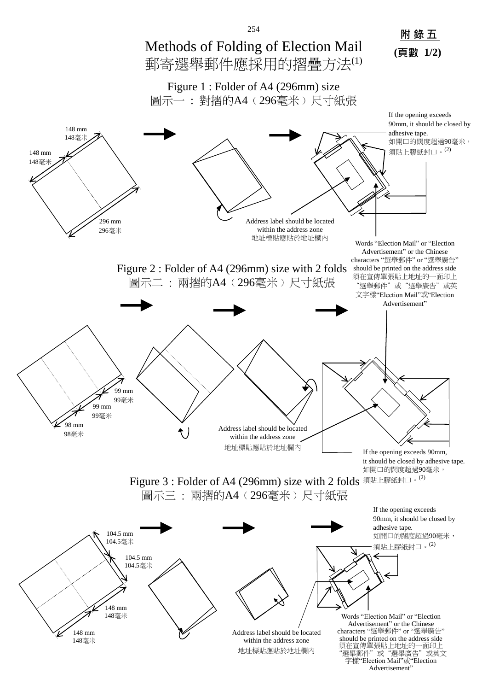